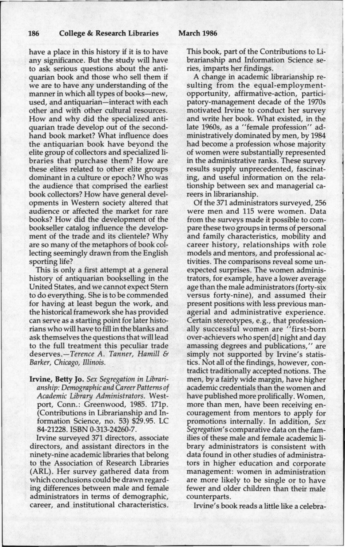## 186 College & Research Libraries

have a place in this history if it is to have any significance. But the study will have to ask serious questions about the antiquarian book and those who sell them if we are to have any understanding of the manner in which all types of books-new, used, and antiquarian-interact with each other and with other cultural resources. How and why did the specialized antiquarian trade develop out of the secondhand book market? What influence does the antiquarian book have beyond the elite group of collectors and specialized libraries that purchase them? How are these elites related to other elite groups dominant in a culture or epoch? Who was the audience that comprised the earliest book collectors? How have general developments in Western society altered that audience or affected the market for rare books? How did the development of the bookseller catalog influence the development of the trade and its clientele? Why are so many of the metaphors of book collecting seemingly drawn from the English sporting life?

This is only a first attempt at a general history of antiquarian bookselling in the United States, and we cannot expect Stern to do everything. She is to be commended for having at least begun the work, and the historical framework she has provided can serve as a starting point for later historians who will have to fill in the blanks and ask themselves the questions that will lead to the full treatment this peculiar trade *deserves.-Terence A. Tanner, Hamill* & *Barker, Chicago, Illinois.* 

Irvine, Betty Jo. *Sex Segregation in Librarianship: Demographic and Career Patterns of Academic Library Administrators.* Westport, Conn.: Greenwood, 1985. 171p. (Contributions in Librarianship and Information Science, no. 53) \$29.95. LC 84-21228. ISBN 0-313-24260-7.

Irvine surveyed 371 directors, associate directors, and assistant directors in the ninety-nine academic libraries that belong to the Association of Research Libraries (ARL). Her survey gathered data from which conclusions could be drawn regarding differences between male and female administrators in terms of demographic, career, and institutional characteristics.

## March 1986

This book, part of the Contributions to Librarianship and Information Science series, imparts her findings.

A change in academic librarianship resulting from the equal-employmentopportunity, affirmative-action, participatory-management decade of the 1970s motivated Irvine to conduct her survey and write her book. What existed, in the late 1960s, as a "female profession" administratively dominated by men, by 1984 had become a profession whose majority of women were substantially represented in the administrative ranks. These survey results supply unprecedented, fascinating, and useful information on the relationship between sex and managerial careers in librarianship.

Of the 371 administrators surveyed, 256 were men and 115 were women. Data from the surveys made it possible to compare these two groups in terms of personal and family characteristics, mobility and career history, relationships with role models and mentors, and professional activities. The comparisons reveal some unexpected surprises. The women administrators, for example, have a lower average age than the male administrators (forty-six versus forty-nine), and assumed their present positions with less previous managerial and administrative experience. Certain stereotypes, e.g., that professionally successful women are "first-born over-achievers who spen[d] night and day amassing degrees and publications," are simply not supported by Irvine's statistics. Not all of the findings, however, contradict traditionally accepted notions. The men, by a fairly wide margin, have higher academic credentials than the women and have published more prolifically. Women, more than men, have been receiving encouragement from mentors to apply for promotions internally. In addition, *Sex Segregation's* comparative data on the families of these male and female academic library administrators is consistent with data found in other studies of administrators in higher education and corporate management: women in administration are more likely to be single or to have fewer and older children than their male counterparts.

Irvine's book reads a little like a celebra-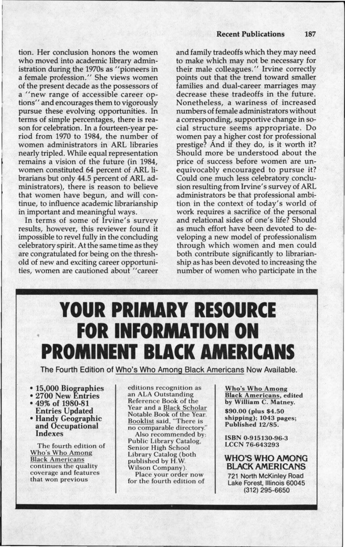tion. Her conclusion honors the women who moved into academic library administration during the 1970s as "pioneers in a female profession.'' She views women of the present decade as the possessors of a "new range of accessible career options" and encourages them to vigorously pursue these evolving opportunities. In terms of simple percentages, there is reason for celebration. In a fourteen-year period from 1970 to 1984, the number of women administrators in ARL libraries nearly tripled. While equal representation remains a vision of the future (in 1984, women constituted 64 percent of ARL librarians but only 44.5 percent of ARL administrators), there is reason to believe that women have begun, and will. continue, to influence academic librarianship in important and meaningful ways.

In terms of some of Irvine's survey results, however, this reviewer found it impossible to revel fully in the concluding celebratory spirit. At the same time as they are congratulated for being on the threshold of new and exciting career opportunities, women are cautioned about "career

and family tradeoffs which they may need to make which may not be necessary for their male colleagues.'' Irvine correctly points out that the trend toward smaller families and dual-career marriages may decrease these tradeoffs in the future. Nonetheless, a wariness of increased numbers of female administrators without a corresponding, supportive change in social structure seems appropriate. Do women pay a higher cost for professional prestige? And if they do, is it worth it? Should more be understood about the price of success before women are unequivocably encouraged to pursue it? Could one much less celebratory conclusion resulting from Irvine's survey of ARL administrators be that professional ambition in the context of today's world of work requires a sacrifice of the personal and relational sides of one's life? Should as much effort have been devoted to developing a new model of professionalism through which women and men could both contribute significantly to librarianship as has been devoted to increasing the number of women who participate in the

## **YOUR PRIMARY RESOURCE FOR INFORMATION ON PROMINENT BLACK AMERICANS**

The Fourth Edition of Who's Who Among Black Americans Now Available.

- 
- 
- 15,000 Biographies 2700 New Entries 49% of 1980-81
- Handy Geographic
- and Occupational Indexes

The fourth edition of Who's Who Among Black Americans continues the quality coverage and features that won previous

editions recognition as an ALA Outstanding Reference Book of the Year and a Black Scholar Notable Book of the Year. Booklist said, "There is no comparable directory."

Also recommended by: Public Library Catalog, Senior High School Library Catalog (both published by H .W. Wilson Company).

Place your order now for the fourth edition of Who's Who Among Black Americans, edited by William C. Matney.

\$90.00 (plus \$4.50 shipping); 1043 pages; Published 12/85.

ISBN 0-915130-96-3 LCCN 76-643293

WHO'S WHO AMONG BLACK AMERICANS 721 North McKinley Road Lake Forest, Illinois 60045 (312) 295-6650